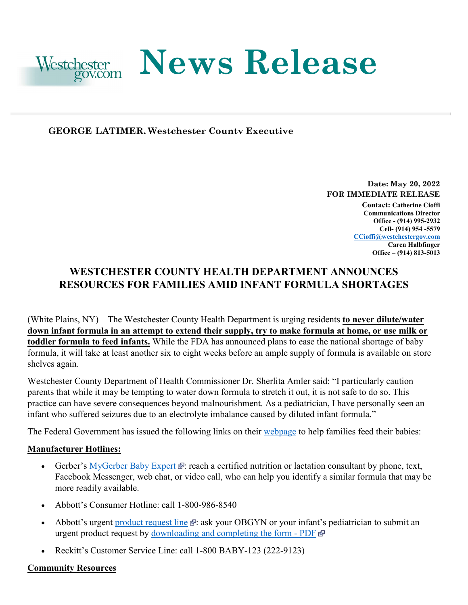

# **News Release**

# **GEORGE LATIMER, Westchester County Executive**

**Date: May 20, 2022 FOR IMMEDIATE RELEASE Contact: Catherine Cioffi Communications Director Office - (914) 995-2932 Cell- (914) 954 -5579 [CCioffi@westchestergov.com](mailto:CCioffi@westchestergov.com)** 

**Caren Halbfinger Office – (914) 813-5013** 

# **WESTCHESTER COUNTY HEALTH DEPARTMENT ANNOUNCES RESOURCES FOR FAMILIES AMID INFANT FORMULA SHORTAGES**

 **toddler formula to feed infants.** While the FDA has announced plans to ease the national shortage of baby (White Plains, NY) – The Westchester County Health Department is urging residents **to never dilute/water down infant formula in an attempt to extend their supply, try to make formula at home, or use milk or**  formula, it will take at least another six to eight weeks before an ample supply of formula is available on store shelves again.

 Westchester County Department of Health Commissioner Dr. Sherlita Amler said: "I particularly caution practice can have severe consequences beyond malnourishment. As a pediatrician, I have personally seen an infant who suffered seizures due to an electrolyte imbalance caused by diluted infant formula." parents that while it may be tempting to water down formula to stretch it out, it is not safe to do so. This

infant who suffered seizures due to an electrolyte imbalance caused by diluted infant formula."<br>The Federal Government has issued the following links on their <u>webpage</u> to help families feed their babies:

# **Manufacturer Hotlines:**

- Facebook Messenger, web chat, or video call, who can help you identify a similar formula that may be • Gerber's [MyGerber Baby Expert](https://www.gerber.com/mygerber-baby-expert)  $\mathbb{R}$ [:](https://www.hhs.gov/disclaimer.html) reach a certified nutrition or lactation consultant by phone, text, more readily available.
- Abbott's Consumer Hotline: call 1-800-986-8540
- urgent product request by [downloading and completing the form -](https://static.abbottnutrition.com/cms-prod/abbottnutrition-2016.com/img/22-PSN-C_Print-Metabolics_Urgent_Product_RequestForm_FA04a.pdf)PDF Abbott's urgent [product request line](https://abbottnutrition.com/metabolics)  $\mathbb{F}$ [:](https://www.hhs.gov/disclaimer.html) ask your OBGYN or your infant's pediatrician to submit an
- Reckitt's Customer Service Line: call 1-800 BABY-123 (222-9123)

#### **Community Resources**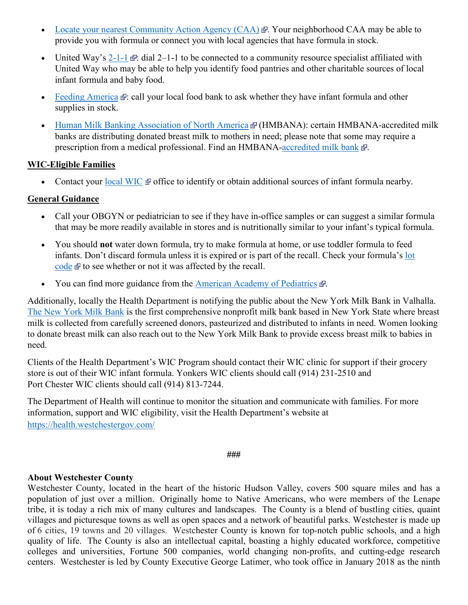- [Locate your nearest Community Action Agency \(CAA\)](https://communityactionpartnership.com/find-a-cap/)  $\mathbb{F}$ [.](https://www.hhs.gov/disclaimer.html) Your neighborhood CAA may be able to provide you with formula or connect you with local agencies that have formula in stock.
- United Way's  $2-1-1$   $\mathbb{F}$ [:](https://www.hhs.gov/disclaimer.html) dial 2–1-1 to be connected to a community resource specialist affiliated with United Way who may be able to help you identify food pantries and other charitable sources of local infant formula and baby food.
- [Feeding America](https://www.feedingamerica.org/find-your-local-foodbank) **[:](https://www.hhs.gov/disclaimer.html)** call your local food bank to ask whether they have infant formula and other supplies in stock.
- [Human Milk Banking Association of North America](https://www.hmbana.org/find-a-milk-bank/) & (HMBANA): certain HMBANA-accredited milk banks are distributing donated breast milk to mothers in need; please note that some may require a prescription from a medical professional. Find an HMBANA[-accredited milk bank](https://www.hmbana.org/find-a-milk-bank/)  $\Phi$ [.](https://www.hhs.gov/disclaimer.html)

# **WIC-Eligible Families**

• Contact your [local WIC](https://www.signupwic.com/)  $\Phi$  office to identify or obtain additional sources of infant formula nearby.

# **General Guidance**

- Call your OBGYN or pediatrician to see if they have in-office samples or can suggest a similar formula that may be more readily available in stores and is nutritionally similar to your infant's typical formula.
- • You should **not** water down formula, try to make formula at home, or use toddler formula to feed [code](https://www.similacrecall.com/us/en/product-lookup.html) $\mathbb{F}$  to see whether or not it was affected by the recall. infants. Don't discard formula unless it is expired or is part of the recall. Check your formula's [lot](https://www.similacrecall.com/us/en/product-lookup.html)
- You can find more guidance from the **American Academy of Pediatrics**  $\mathbb{F}$ .

[The New York Milk Bank](https://www.nymilkbank.org/) is the first comprehensive nonprofit milk bank based in New York State where breast Additionally, locally the Health Department is notifying the public about the New York Milk Bank in Valhalla. milk is collected from carefully screened donors, pasteurized and distributed to infants in need. Women looking to donate breast milk can also reach out to the New York Milk Bank to provide excess breast milk to babies in need.

Clients of the Health Department's WIC Program should contact their WIC clinic for support if their grocery store is out of their WIC infant formula. Yonkers WIC clients should call (914) 231-2510 and Port Chester WIC clients should call (914) 813-7244.

The Department of Health will continue to monitor the situation and communicate with families. For more information, support and WIC eligibility, visit the Health Department's website at <https://health.westchestergov.com/>

**###** 

#### **About Westchester County**

 Westchester County, located in the heart of the historic Hudson Valley, covers 500 square miles and has a population of just over a million. Originally home to Native Americans, who were members of the Lenape tribe, it is today a rich mix of many cultures and landscapes. The County is a blend of bustling cities, quaint of 6 cities, 19 towns and 20 villages. Westchester County is known for top-notch public schools, and a high quality of life. The County is also an intellectual capital, boasting a highly educated workforce, competitive centers. Westchester is led by County Executive George Latimer, who took office in January 2018 as the ninth villages and picturesque towns as well as open spaces and a network of beautiful parks. Westchester is made up colleges and universities, Fortune 500 companies, world changing non-profits, and cutting-edge research